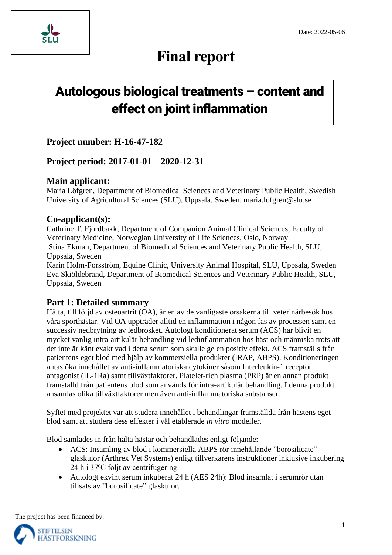

# **Final report**

# **Autologous biological treatments – content and effect on joint inflammation**

## **Project number: H-16-47-182**

## **Project period: 2017-01-01 – 2020-12-31**

## **Main applicant:**

Maria Löfgren, Department of Biomedical Sciences and Veterinary Public Health, Swedish University of Agricultural Sciences (SLU), Uppsala, Sweden, maria.lofgren@slu.se

## **Co-applicant(s):**

Cathrine T. Fjordbakk, Department of Companion Animal Clinical Sciences, Faculty of Veterinary Medicine, Norwegian University of Life Sciences, Oslo, Norway Stina Ekman, Department of Biomedical Sciences and Veterinary Public Health, SLU, Uppsala, Sweden Karin Holm-Forsström, Equine Clinic, University Animal Hospital, SLU, Uppsala, Sweden Eva Skiöldebrand, Department of Biomedical Sciences and Veterinary Public Health, SLU,

Uppsala, Sweden

## **Part 1: Detailed summary**

Hälta, till följd av osteoartrit (OA), är en av de vanligaste orsakerna till veterinärbesök hos våra sporthästar. Vid OA uppträder alltid en inflammation i någon fas av processen samt en successiv nedbrytning av ledbrosket. Autologt konditionerat serum (ACS) har blivit en mycket vanlig intra-artikulär behandling vid ledinflammation hos häst och människa trots att det inte är känt exakt vad i detta serum som skulle ge en positiv effekt. ACS framställs från patientens eget blod med hjälp av kommersiella produkter (IRAP, ABPS). Konditioneringen antas öka innehållet av anti-inflammatoriska cytokiner såsom Interleukin-1 receptor antagonist (IL-1Ra) samt tillväxtfaktorer. Platelet-rich plasma (PRP) är en annan produkt framställd från patientens blod som används för intra-artikulär behandling. I denna produkt ansamlas olika tillväxtfaktorer men även anti-inflammatoriska substanser.

Syftet med projektet var att studera innehållet i behandlingar framställda från hästens eget blod samt att studera dess effekter i väl etablerade *in vitro* modeller.

Blod samlades in från halta hästar och behandlades enligt följande:

- ACS: Insamling av blod i kommersiella ABPS rör innehållande "borosilicate" glaskulor (Arthrex Vet Systems) enligt tillverkarens instruktioner inklusive inkubering 24 h i 37°C följt av centrifugering.
- Autologt ekvint serum inkuberat 24 h (AES 24h): Blod insamlat i serumrör utan tillsats av "borosilicate" glaskulor.

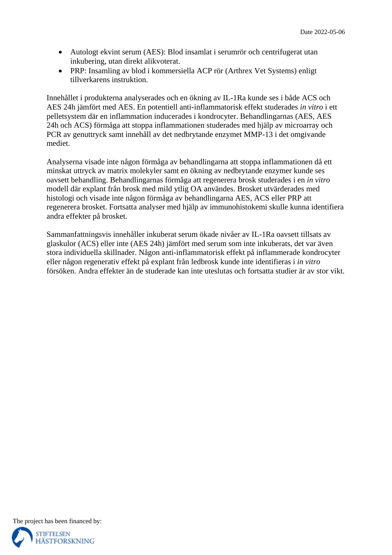- Autologt ekvint serum (AES): Blod insamlat i serumrör och centrifugerat utan inkubering, utan direkt alikvoterat.
- PRP: Insamling av blod i kommersiella ACP rör (Arthrex Vet Systems) enligt tillverkarens instruktion.

Innehållet i produkterna analyserades och en ökning av IL-1Ra kunde ses i både ACS och AES 24h jämfört med AES. En potentiell anti-inflammatorisk effekt studerades *in vitro* i ett pelletsystem där en inflammation inducerades i kondrocyter. Behandlingarnas (AES, AES 24h och ACS) förmåga att stoppa inflammationen studerades med hjälp av microarray och PCR av genuttryck samt innehåll av det nedbrytande enzymet MMP-13 i det omgivande mediet.

Analyserna visade inte någon förmåga av behandlingarna att stoppa inflammationen då ett minskat uttryck av matrix molekyler samt en ökning av nedbrytande enzymer kunde ses oavsett behandling. Behandlingarnas förmåga att regenerera brosk studerades i en *in vitro* modell där explant från brosk med mild ytlig OA användes. Brosket utvärderades med histologi och visade inte någon förmåga av behandlingarna AES, ACS eller PRP att regenerera brosket. Fortsatta analyser med hjälp av immunohistokemi skulle kunna identifiera andra effekter på brosket.

Sammanfattningsvis innehåller inkuberat serum ökade nivåer av IL-1Ra oavsett tillsats av glaskulor (ACS) eller inte (AES 24h) jämfört med serum som inte inkuberats, det var även stora individuella skillnader. Någon anti-inflammatorisk effekt på inflammerade kondrocyter eller någon regenerativ effekt på explant från ledbrosk kunde inte identifieras i *in vitro* försöken. Andra effekter än de studerade kan inte uteslutas och fortsatta studier är av stor vikt.

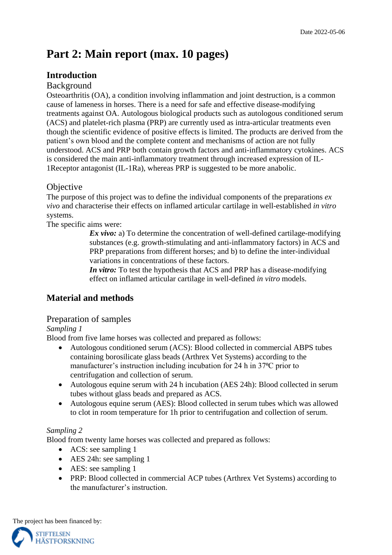## **Part 2: Main report (max. 10 pages)**

## **Introduction**

### Background

Osteoarthritis (OA), a condition involving inflammation and joint destruction, is a common cause of lameness in horses. There is a need for safe and effective disease-modifying treatments against OA. Autologous biological products such as autologous conditioned serum (ACS) and platelet-rich plasma (PRP) are currently used as intra-articular treatments even though the scientific evidence of positive effects is limited. The products are derived from the patient's own blood and the complete content and mechanisms of action are not fully understood. ACS and PRP both contain growth factors and anti-inflammatory cytokines. ACS is considered the main anti-inflammatory treatment through increased expression of IL-1Receptor antagonist (IL-1Ra), whereas PRP is suggested to be more anabolic.

### **Objective**

The purpose of this project was to define the individual components of the preparations *ex vivo* and characterise their effects on inflamed articular cartilage in well-established *in vitro* systems.

The specific aims were:

*Ex vivo:* a) To determine the concentration of well-defined cartilage-modifying substances (e.g. growth-stimulating and anti-inflammatory factors) in ACS and PRP preparations from different horses; and b) to define the inter-individual variations in concentrations of these factors.

*In vitro:* To test the hypothesis that ACS and PRP has a disease-modifying effect on inflamed articular cartilage in well-defined *in vitro* models.

## **Material and methods**

#### Preparation of samples

#### *Sampling 1*

Blood from five lame horses was collected and prepared as follows:

- Autologous conditioned serum (ACS): Blood collected in commercial ABPS tubes containing borosilicate glass beads (Arthrex Vet Systems) according to the manufacturer's instruction including incubation for 24 h in 37<sup>o</sup>C prior to centrifugation and collection of serum.
- Autologous equine serum with 24 h incubation (AES 24h): Blood collected in serum tubes without glass beads and prepared as ACS.
- Autologous equine serum (AES): Blood collected in serum tubes which was allowed to clot in room temperature for 1h prior to centrifugation and collection of serum.

#### *Sampling 2*

Blood from twenty lame horses was collected and prepared as follows:

- ACS: see sampling 1
- AES 24h: see sampling 1
- AES: see sampling 1
- PRP: Blood collected in commercial ACP tubes (Arthrex Vet Systems) according to the manufacturer's instruction.

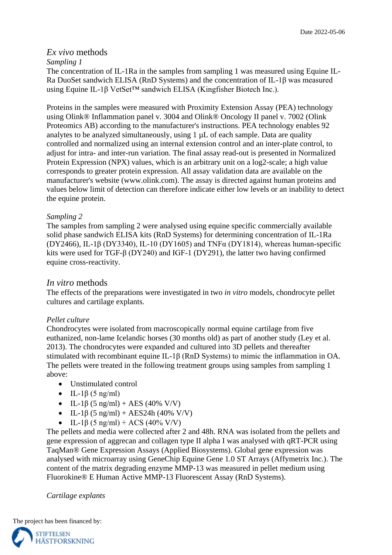#### *Ex vivo* methods

#### *Sampling 1*

The concentration of IL-1Ra in the samples from sampling 1 was measured using Equine IL-Ra DuoSet sandwich ELISA (RnD Systems) and the concentration of IL-1β was measured using Equine IL-1β VetSet™ sandwich ELISA (Kingfisher Biotech Inc.).

Proteins in the samples were measured with Proximity Extension Assay (PEA) technology using Olink® Inflammation panel v. 3004 and Olink® Oncology II panel v. 7002 (Olink Proteomics AB) according to the manufacturer's instructions. PEA technology enables 92 analytes to be analyzed simultaneously, using 1 µL of each sample. Data are quality controlled and normalized using an internal extension control and an inter-plate control, to adjust for intra- and inter-run variation. The final assay read-out is presented in Normalized Protein Expression (NPX) values, which is an arbitrary unit on a log2-scale; a high value corresponds to greater protein expression. All assay validation data are available on the manufacturer's website (www.olink.com). The assay is directed against human proteins and values below limit of detection can therefore indicate either low levels or an inability to detect the equine protein.

#### *Sampling 2*

The samples from sampling 2 were analysed using equine specific commercially available solid phase sandwich ELISA kits (RnD Systems) for determining concentration of IL-1Ra (DY2466), IL-1 $\beta$  (DY3340), IL-10 (DY1605) and TNF $\alpha$  (DY1814), whereas human-specific kits were used for TGF-β (DY240) and IGF-1 (DY291), the latter two having confirmed equine cross-reactivity.

#### *In vitro* methods

The effects of the preparations were investigated in two *in vitro* models, chondrocyte pellet cultures and cartilage explants.

#### *Pellet culture*

Chondrocytes were isolated from macroscopically normal equine cartilage from five euthanized, non-lame Icelandic horses (30 months old) as part of another study (Ley et al. 2013). The chondrocytes were expanded and cultured into 3D pellets and thereafter stimulated with recombinant equine IL-1β (RnD Systems) to mimic the inflammation in OA. The pellets were treated in the following treatment groups using samples from sampling 1 above:

- Unstimulated control
- $\bullet$  IL-1 $\beta$  (5 ng/ml)
- IL-1 $\beta$  (5 ng/ml) + AES (40% V/V)
- IL-1 $\beta$  (5 ng/ml) + AES24h (40% V/V)
- IL-1β (5 ng/ml) + ACS (40% V/V)

The pellets and media were collected after 2 and 48h. RNA was isolated from the pellets and gene expression of aggrecan and collagen type II alpha I was analysed with qRT-PCR using TaqMan® Gene Expression Assays (Applied Biosystems). Global gene expression was analysed with microarray using GeneChip Equine Gene 1.0 ST Arrays (Affymetrix Inc.). The content of the matrix degrading enzyme MMP-13 was measured in pellet medium using Fluorokine® E Human Active MMP-13 Fluorescent Assay (RnD Systems).

#### *Cartilage explants*

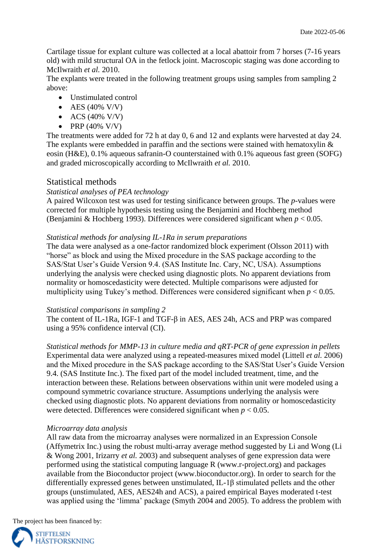Cartilage tissue for explant culture was collected at a local abattoir from 7 horses (7-16 years old) with mild structural OA in the fetlock joint. Macroscopic staging was done according to McIlwraith *et al.* 2010.

The explants were treated in the following treatment groups using samples from sampling 2 above:

- Unstimulated control
- $\bullet$  AES (40% V/V)
- $\bullet$  ACS (40% V/V)
- PRP (40% V/V)

The treatments were added for 72 h at day 0, 6 and 12 and explants were harvested at day 24. The explants were embedded in paraffin and the sections were stained with hematoxylin & eosin (H&E), 0.1% aqueous safranin-O counterstained with 0.1% aqueous fast green (SOFG) and graded microscopically according to McIlwraith *et al.* 2010.

#### Statistical methods

#### *Statistical analyses of PEA technology*

A paired Wilcoxon test was used for testing sinificance between groups. The *p*-values were corrected for multiple hypothesis testing using the Benjamini and Hochberg method (Benjamini & Hochberg 1993). Differences were considered significant when *p* < 0.05.

#### *Statistical methods for analysing IL-1Ra in serum preparations*

The data were analysed as a one-factor randomized block experiment (Olsson 2011) with "horse" as block and using the Mixed procedure in the SAS package according to the SAS/Stat User's Guide Version 9.4. (SAS Institute Inc. Cary, NC, USA). Assumptions underlying the analysis were checked using diagnostic plots. No apparent deviations from normality or homoscedasticity were detected. Multiple comparisons were adjusted for multiplicity using Tukey's method. Differences were considered significant when  $p < 0.05$ .

#### *Statistical comparisons in sampling 2*

The content of IL-1Ra, IGF-1 and TGF-β in AES, AES 24h, ACS and PRP was compared using a 95% confidence interval (CI).

*Statistical methods for MMP-13 in culture media and qRT-PCR of gene expression in pellets* Experimental data were analyzed using a repeated-measures mixed model (Littell *et al.* 2006) and the Mixed procedure in the SAS package according to the SAS/Stat User's Guide Version 9.4. (SAS Institute Inc.). The fixed part of the model included treatment, time, and the interaction between these. Relations between observations within unit were modeled using a compound symmetric covariance structure. Assumptions underlying the analysis were checked using diagnostic plots. No apparent deviations from normality or homoscedasticity were detected. Differences were considered significant when  $p < 0.05$ .

#### *Microarray data analysis*

All raw data from the microarray analyses were normalized in an Expression Console (Affymetrix Inc.) using the robust multi-array average method suggested by Li and Wong (Li & Wong 2001, Irizarry *et al.* 2003) and subsequent analyses of gene expression data were performed using the statistical computing language R (www.r-project.org) and packages available from the Bioconductor project (www.bioconductor.org). In order to search for the differentially expressed genes between unstimulated, IL-1β stimulated pellets and the other groups (unstimulated, AES, AES24h and ACS), a paired empirical Bayes moderated t-test was applied using the 'limma' package (Smyth 2004 and 2005). To address the problem with

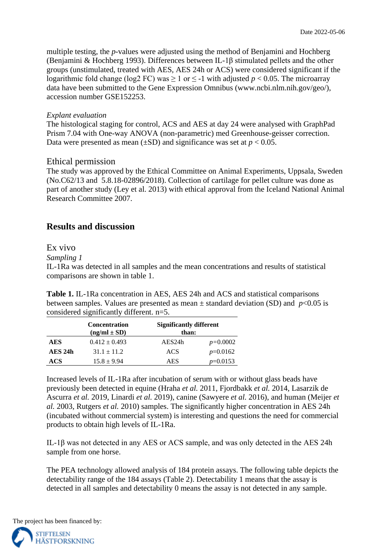multiple testing, the *p*-values were adjusted using the method of Benjamini and Hochberg (Benjamini & Hochberg 1993). Differences between IL-1β stimulated pellets and the other groups (unstimulated, treated with AES, AES 24h or ACS) were considered significant if the logarithmic fold change (log2 FC) was  $\geq 1$  or  $\leq$  -1 with adjusted *p* < 0.05. The microarray data have been submitted to the Gene Expression Omnibus (www.ncbi.nlm.nih.gov/geo/), accession number GSE152253.

#### *Explant evaluation*

The histological staging for control, ACS and AES at day 24 were analysed with GraphPad Prism 7.04 with One-way ANOVA (non-parametric) med Greenhouse-geisser correction. Data were presented as mean ( $\pm$ SD) and significance was set at  $p < 0.05$ .

#### Ethical permission

The study was approved by the Ethical Committee on Animal Experiments, Uppsala, Sweden (No.C62/13 and 5.8.18-02896/2018). Collection of cartilage for pellet culture was done as part of another study (Ley et al. 2013) with ethical approval from the Iceland National Animal Research Committee 2007.

## **Results and discussion**

#### Ex vivo

*Sampling 1*

IL-1Ra was detected in all samples and the mean concentrations and results of statistical comparisons are shown in table 1.

**Table 1.** IL-1Ra concentration in AES, AES 24h and ACS and statistical comparisons between samples. Values are presented as mean  $\pm$  standard deviation (SD) and  $p<0.05$  is considered significantly different. n=5.

|           | <b>Significantly different</b><br><b>Concentration</b><br>$(ng/ml \pm SD)$<br>than: |        |            |
|-----------|-------------------------------------------------------------------------------------|--------|------------|
| AES       | $0.412 \pm 0.493$                                                                   | AES24h | $p=0.0002$ |
| $AES$ 24h | $31.1 \pm 11.2$                                                                     | ACS    | $p=0.0162$ |
| ACS       | $15.8 \pm 9.94$                                                                     | AES    | $p=0.0153$ |

Increased levels of IL-1Ra after incubation of serum with or without glass beads have previously been detected in equine (Hraha *et al.* 2011, Fjordbakk *et al.* 2014, Lasarzik de Ascurra *et al.* 2019, Linardi *et al.* 2019), canine (Sawyere *et al.* 2016), and human (Meijer *et al.* 2003, Rutgers *et al.* 2010) samples. The significantly higher concentration in AES 24h (incubated without commercial system) is interesting and questions the need for commercial products to obtain high levels of IL-1Ra.

IL-1β was not detected in any AES or ACS sample, and was only detected in the AES 24h sample from one horse.

The PEA technology allowed analysis of 184 protein assays. The following table depicts the detectability range of the 184 assays (Table 2). Detectability 1 means that the assay is detected in all samples and detectability 0 means the assay is not detected in any sample.

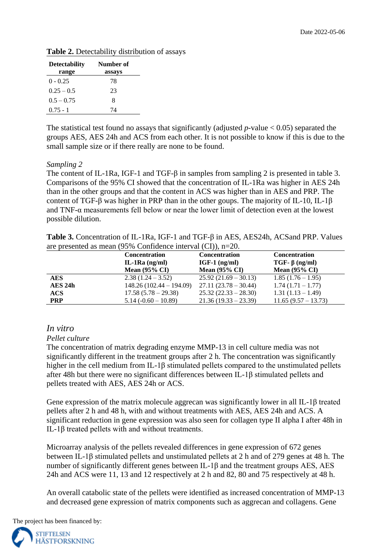|  |  | Table 2. Detectability distribution of assays |  |  |
|--|--|-----------------------------------------------|--|--|
|--|--|-----------------------------------------------|--|--|

| <b>Detectability</b> | Number of |
|----------------------|-----------|
| range                | assays    |
| $0 - 0.25$           | 78        |
| $0.25 - 0.5$         | 23        |
| $0.5 - 0.75$         | 8         |
| $0.75 - 1$           | 74        |

The statistical test found no assays that significantly (adjusted  $p$ -value  $< 0.05$ ) separated the groups AES, AES 24h and ACS from each other. It is not possible to know if this is due to the small sample size or if there really are none to be found.

#### *Sampling 2*

The content of IL-1Ra, IGF-1 and TGF-β in samples from sampling 2 is presented in table 3. Comparisons of the 95% CI showed that the concentration of IL-1Ra was higher in AES 24h than in the other groups and that the content in ACS was higher than in AES and PRP. The content of TGF-β was higher in PRP than in the other goups. The majority of IL-10, IL-1β and TNF-α measurements fell below or near the lower limit of detection even at the lowest possible dilution.

**Table 3.** Concentration of IL-1Ra, IGF-1 and TGF-β in AES, AES24h, ACSand PRP. Values are presented as mean (95% Confidence interval (CI)), n=20.

|            | <b>Concentration</b>      | <b>Concentration</b>     | <b>Concentration</b>     |
|------------|---------------------------|--------------------------|--------------------------|
|            | IL-1 $Ra$ (ng/ml)         | $IGF-1$ (ng/ml)          | $TGF- \beta$ (ng/ml)     |
|            | Mean $(95\% \text{ CI})$  | Mean $(95\% \text{ CI})$ | Mean $(95\% \text{ CI})$ |
| AES        | $2.38(1.24-3.52)$         | $25.92(21.69 - 30.13)$   | $1.85(1.76-1.95)$        |
| AES 24h    | $148.26(102.44 - 194.09)$ | $27.11(23.78-30.44)$     | $1.74(1.71-1.77)$        |
| ACS        | $17.58(5.78-29.38)$       | $25.32(22.33 - 28.30)$   | $1.31(1.13-1.49)$        |
| <b>PRP</b> | $5.14(-0.60-10.89)$       | $21.36(19.33 - 23.39)$   | $11.65(9.57 - 13.73)$    |

#### *In vitro*

#### *Pellet culture*

The concentration of matrix degrading enzyme MMP-13 in cell culture media was not significantly different in the treatment groups after 2 h. The concentration was significantly higher in the cell medium from IL-1β stimulated pellets compared to the unstimulated pellets after 48h but there were no significant differences between IL-1β stimulated pellets and pellets treated with AES, AES 24h or ACS.

Gene expression of the matrix molecule aggrecan was significantly lower in all IL-1β treated pellets after 2 h and 48 h, with and without treatments with AES, AES 24h and ACS. A significant reduction in gene expression was also seen for collagen type II alpha I after 48h in IL-1β treated pellets with and without treatments.

Microarray analysis of the pellets revealed differences in gene expression of 672 genes between IL-1β stimulated pellets and unstimulated pellets at 2 h and of 279 genes at 48 h. The number of significantly different genes between IL-1β and the treatment groups AES, AES 24h and ACS were 11, 13 and 12 respectively at 2 h and 82, 80 and 75 respectively at 48 h.

An overall catabolic state of the pellets were identified as increased concentration of MMP-13 and decreased gene expression of matrix components such as aggrecan and collagens. Gene

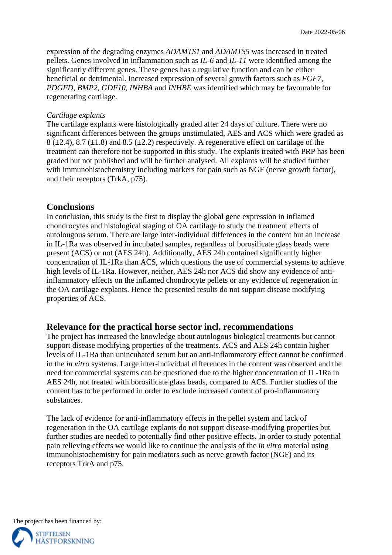expression of the degrading enzymes *ADAMTS1* and *ADAMTS5* was increased in treated pellets. Genes involved in inflammation such as *IL-6* and *IL-11* were identified among the significantly different genes. These genes has a regulative function and can be either beneficial or detrimental. Increased expression of several growth factors such as *FGF7, PDGFD, BMP2, GDF10, INHBA* and *INHBE* was identified which may be favourable for regenerating cartilage.

#### *Cartilage explants*

The cartilage explants were histologically graded after 24 days of culture. There were no significant differences between the groups unstimulated, AES and ACS which were graded as  $8 (\pm 2.4)$ ,  $8.7 (\pm 1.8)$  and  $8.5 (\pm 2.2)$  respectively. A regenerative effect on cartilage of the treatment can therefore not be supported in this study. The explants treated with PRP has been graded but not published and will be further analysed. All explants will be studied further with immunohistochemistry including markers for pain such as NGF (nerve growth factor), and their receptors (TrkA, p75).

#### **Conclusions**

In conclusion, this study is the first to display the global gene expression in inflamed chondrocytes and histological staging of OA cartilage to study the treatment effects of autolougous serum. There are large inter-individual differences in the content but an increase in IL-1Ra was observed in incubated samples, regardless of borosilicate glass beads were present (ACS) or not (AES 24h). Additionally, AES 24h contained significantly higher concentration of IL-1Ra than ACS, which questions the use of commercial systems to achieve high levels of IL-1Ra. However, neither, AES 24h nor ACS did show any evidence of antiinflammatory effects on the inflamed chondrocyte pellets or any evidence of regeneration in the OA cartilage explants. Hence the presented results do not support disease modifying properties of ACS.

#### **Relevance for the practical horse sector incl. recommendations**

The project has increased the knowledge about autologous biological treatments but cannot support disease modifying properties of the treatments. ACS and AES 24h contain higher levels of IL-1Ra than unincubated serum but an anti-inflammatory effect cannot be confirmed in the *in vitro* systems. Large inter-individual differences in the content was observed and the need for commercial systems can be questioned due to the higher concentration of IL-1Ra in AES 24h, not treated with borosilicate glass beads, compared to ACS. Further studies of the content has to be performed in order to exclude increased content of pro-inflammatory substances.

The lack of evidence for anti-inflammatory effects in the pellet system and lack of regeneration in the OA cartilage explants do not support disease-modifying properties but further studies are needed to potentially find other positive effects. In order to study potential pain relieving effects we would like to continue the analysis of the *in vitro* material using immunohistochemistry for pain mediators such as nerve growth factor (NGF) and its receptors TrkA and p75.

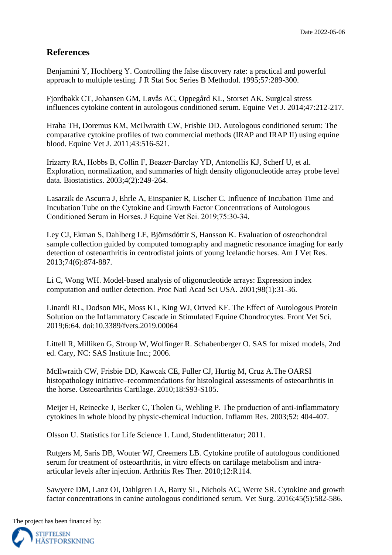## **References**

Benjamini Y, Hochberg Y. Controlling the false discovery rate: a practical and powerful approach to multiple testing. J R Stat Soc Series B Methodol. 1995;57:289-300.

Fjordbakk CT, Johansen GM, Løvås AC, Oppegård KL, Storset AK. Surgical stress influences cytokine content in autologous conditioned serum. Equine Vet J. 2014;47:212-217.

Hraha TH, Doremus KM, McIlwraith CW, Frisbie DD. Autologous conditioned serum: The comparative cytokine profiles of two commercial methods (IRAP and IRAP II) using equine blood. Equine Vet J. 2011;43:516-521.

Irizarry RA, Hobbs B, Collin F, Beazer‐Barclay YD, Antonellis KJ, Scherf U, et al. Exploration, normalization, and summaries of high density oligonucleotide array probe level data. Biostatistics. 2003;4(2):249-264.

Lasarzik de Ascurra J, Ehrle A, Einspanier R, Lischer C. Influence of Incubation Time and Incubation Tube on the Cytokine and Growth Factor Concentrations of Autologous Conditioned Serum in Horses. J Equine Vet Sci. 2019;75:30‐34.

Ley CJ, Ekman S, Dahlberg LE, Björnsdóttir S, Hansson K. Evaluation of osteochondral sample collection guided by computed tomography and magnetic resonance imaging for early detection of osteoarthritis in centrodistal joints of young Icelandic horses. Am J Vet Res. 2013;74(6):874-887.

Li C, Wong WH. Model-based analysis of oligonucleotide arrays: Expression index computation and outlier detection. Proc Natl Acad Sci USA. 2001;98(1):31-36.

Linardi RL, Dodson ME, Moss KL, King WJ, Ortved KF. The Effect of Autologous Protein Solution on the Inflammatory Cascade in Stimulated Equine Chondrocytes. Front Vet Sci. 2019;6:64. doi:10.3389/fvets.2019.00064

Littell R, Milliken G, Stroup W, Wolfinger R. Schabenberger O. SAS for mixed models, 2nd ed. Cary, NC: SAS Institute Inc.; 2006.

McIlwraith CW, Frisbie DD, Kawcak CE, Fuller CJ, Hurtig M, Cruz A.The OARSI histopathology initiative–recommendations for histological assessments of osteoarthritis in the horse. Osteoarthritis Cartilage. 2010;18:S93-S105.

Meijer H, Reinecke J, Becker C, Tholen G, Wehling P. The production of anti-inflammatory cytokines in whole blood by physic-chemical induction. Inflamm Res. 2003;52: 404-407.

Olsson U. Statistics for Life Science 1. Lund, Studentlitteratur; 2011.

Rutgers M, Saris DB, Wouter WJ, Creemers LB. Cytokine profile of autologous conditioned serum for treatment of osteoarthritis, in vitro effects on cartilage metabolism and intraarticular levels after injection. Arthritis Res Ther. 2010;12:R114.

Sawyere DM, Lanz OI, Dahlgren LA, Barry SL, Nichols AC, Werre SR. Cytokine and growth factor concentrations in canine autologous conditioned serum. Vet Surg. 2016;45(5):582-586.

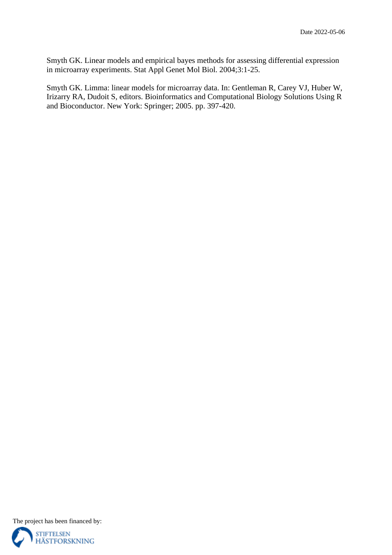Smyth GK. Linear models and empirical bayes methods for assessing differential expression in microarray experiments. Stat Appl Genet Mol Biol. 2004;3:1-25.

Smyth GK. Limma: linear models for microarray data. In: Gentleman R, Carey VJ, Huber W, Irizarry RA, Dudoit S, editors. Bioinformatics and Computational Biology Solutions Using R and Bioconductor. New York: Springer; 2005. pp. 397-420.

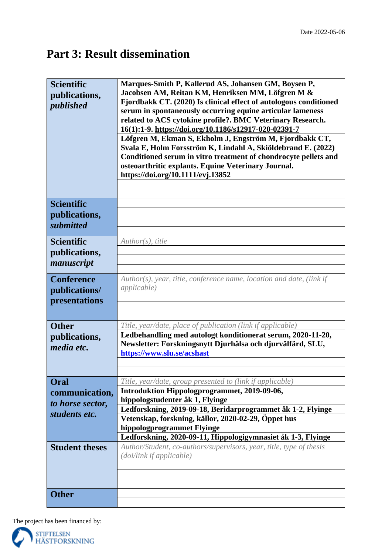## **Part 3: Result dissemination**

| <b>Scientific</b><br>publications,<br>published                                      | Marques-Smith P, Kallerud AS, Johansen GM, Boysen P,<br>Jacobsen AM, Reitan KM, Henriksen MM, Löfgren M &<br>Fjordbakk CT. (2020) Is clinical effect of autologous conditioned<br>serum in spontaneously occurring equine articular lameness<br>related to ACS cytokine profile?. BMC Veterinary Research.<br>16(1):1-9. https://doi.org/10.1186/s12917-020-02391-7<br>Löfgren M, Ekman S, Ekholm J, Engström M, Fjordbakk CT,<br>Svala E, Holm Forsström K, Lindahl A, Skiöldebrand E. (2022)<br>Conditioned serum in vitro treatment of chondrocyte pellets and<br>osteoarthritic explants. Equine Veterinary Journal.<br>https://doi.org/10.1111/evj.13852 |  |
|--------------------------------------------------------------------------------------|---------------------------------------------------------------------------------------------------------------------------------------------------------------------------------------------------------------------------------------------------------------------------------------------------------------------------------------------------------------------------------------------------------------------------------------------------------------------------------------------------------------------------------------------------------------------------------------------------------------------------------------------------------------|--|
| <b>Scientific</b><br>publications,<br>submitted                                      |                                                                                                                                                                                                                                                                                                                                                                                                                                                                                                                                                                                                                                                               |  |
| <b>Scientific</b><br>publications,<br>manuscript                                     | Author(s), title                                                                                                                                                                                                                                                                                                                                                                                                                                                                                                                                                                                                                                              |  |
| <b>Conference</b><br>publications/<br>presentations                                  | Author(s), year, title, conference name, location and date, (link if<br><i>applicable</i> )                                                                                                                                                                                                                                                                                                                                                                                                                                                                                                                                                                   |  |
| <b>Other</b><br>publications,<br>media etc.                                          | Title, year/date, place of publication (link if applicable)<br>Ledbehandling med autologt konditionerat serum, 2020-11-20,<br>Newsletter: Forskningsnytt Djurhälsa och djurvälfärd, SLU,<br>https://www.slu.se/acshast                                                                                                                                                                                                                                                                                                                                                                                                                                        |  |
| Oral<br>communication,<br>to horse sector,<br>students etc.<br><b>Student theses</b> | Title, year/date, group presented to (link if applicable)<br>Introduktion Hippologprogrammet, 2019-09-06,<br>hippologstudenter åk 1, Flyinge<br>Ledforskning, 2019-09-18, Beridarprogrammet åk 1-2, Flyinge<br>Vetenskap, forskning, källor, 2020-02-29, Öppet hus<br>hippologprogrammet Flyinge<br>Ledforskning, 2020-09-11, Hippologigymnasiet åk 1-3, Flyinge<br>Author/Student, co-authors/supervisors, year, title, type of thesis<br>(doi/link if applicable)                                                                                                                                                                                           |  |
| <b>Other</b>                                                                         |                                                                                                                                                                                                                                                                                                                                                                                                                                                                                                                                                                                                                                                               |  |